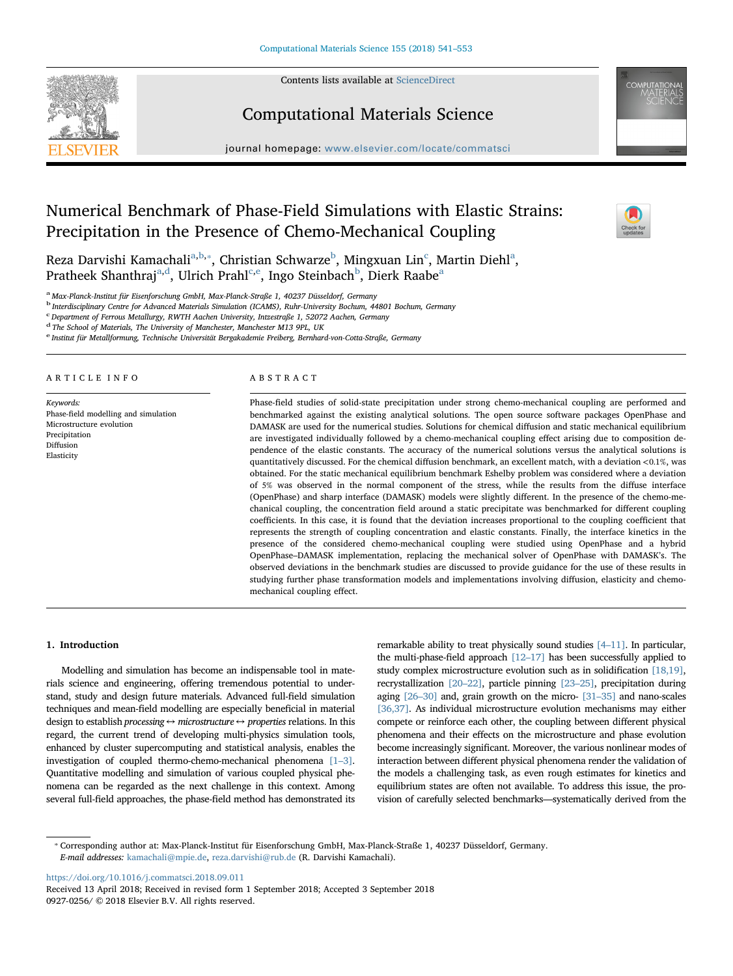

Contents lists available at [ScienceDirect](http://www.sciencedirect.com/science/journal/09270256)

### Computational Materials Science

journal homepage: [www.elsevier.com/locate/commatsci](https://www.elsevier.com/locate/commatsci)

## Numerical Benchmark of Phase-Field Simulations with Elastic Strains: Precipitation in the Presence of Chemo-Mechanical Coupling



Rez[a](#page-0-0) Darvishi Kamachali<sup>a[,b,](#page-0-1)</sup>\*, Christian Schwarze<sup>[b](#page-0-1)</sup>, Mingxuan Lin<sup>[c](#page-0-3)</sup>, Martin Diehl<sup>a</sup>, Pratheek Shanthraj<sup>[a,](#page-0-0)[d](#page-0-4)</sup>, Ulrich Prahl<sup>[e](#page-0-5),e</sup>, Ingo Stein[b](#page-0-1)[a](#page-0-0)ch<sup>b</sup>, Dierk Raabe<sup>a</sup>

<span id="page-0-0"></span><sup>a</sup> Max-Planck-Institut für Eisenforschung GmbH, Max-Planck-Straße 1, 40237 Düsseldorf, Germany

<span id="page-0-1"></span><sup>b</sup> Interdisciplinary Centre for Advanced Materials Simulation (ICAMS), Ruhr-University Bochum, 44801 Bochum, Germany

<span id="page-0-3"></span>c Department of Ferrous Metallurgy, RWTH Aachen University, Intzestraße 1, 52072 Aachen, Germany

<span id="page-0-4"></span><sup>d</sup> The School of Materials, The University of Manchester, Manchester M13 9PL, UK

<span id="page-0-5"></span><sup>e</sup> Institut für Metallformung, Technische Universität Bergakademie Freiberg, Bernhard-von-Cotta-Straße, Germany

#### ARTICLE INFO

Keywords: Phase-field modelling and simulation Microstructure evolution Precipitation Diffusion Elasticity

#### ABSTRACT

Phase-field studies of solid-state precipitation under strong chemo-mechanical coupling are performed and benchmarked against the existing analytical solutions. The open source software packages OpenPhase and DAMASK are used for the numerical studies. Solutions for chemical diffusion and static mechanical equilibrium are investigated individually followed by a chemo-mechanical coupling effect arising due to composition dependence of the elastic constants. The accuracy of the numerical solutions versus the analytical solutions is quantitatively discussed. For the chemical diffusion benchmark, an excellent match, with a deviation <0.1%, was obtained. For the static mechanical equilibrium benchmark Eshelby problem was considered where a deviation of 5% was observed in the normal component of the stress, while the results from the diffuse interface (OpenPhase) and sharp interface (DAMASK) models were slightly different. In the presence of the chemo-mechanical coupling, the concentration field around a static precipitate was benchmarked for different coupling coefficients. In this case, it is found that the deviation increases proportional to the coupling coefficient that represents the strength of coupling concentration and elastic constants. Finally, the interface kinetics in the presence of the considered chemo-mechanical coupling were studied using OpenPhase and a hybrid OpenPhase–DAMASK implementation, replacing the mechanical solver of OpenPhase with DAMASK's. The observed deviations in the benchmark studies are discussed to provide guidance for the use of these results in studying further phase transformation models and implementations involving diffusion, elasticity and chemomechanical coupling effect.

#### 1. Introduction

Modelling and simulation has become an indispensable tool in materials science and engineering, offering tremendous potential to understand, study and design future materials. Advanced full-field simulation techniques and mean-field modelling are especially beneficial in material design to establish processing  $\leftrightarrow$  microstructure  $\leftrightarrow$  properties relations. In this regard, the current trend of developing multi-physics simulation tools, enhanced by cluster supercomputing and statistical analysis, enables the investigation of coupled thermo-chemo-mechanical phenomena [\[1](#page--1-0)–3]. Quantitative modelling and simulation of various coupled physical phenomena can be regarded as the next challenge in this context. Among several full-field approaches, the phase-field method has demonstrated its remarkable ability to treat physically sound studies [4–[11\]](#page--1-1). In particular, the multi-phase-field approach [12–[17\]](#page--1-2) has been successfully applied to study complex microstructure evolution such as in solidification [\[18,19\]](#page--1-3), recrystallization [20–[22\],](#page--1-4) particle pinning [23–[25\]](#page--1-5), precipitation during aging [26–[30\]](#page--1-6) and, grain growth on the micro- [31–[35\]](#page--1-7) and nano-scales [\[36,37\]](#page--1-8). As individual microstructure evolution mechanisms may either compete or reinforce each other, the coupling between different physical phenomena and their effects on the microstructure and phase evolution become increasingly significant. Moreover, the various nonlinear modes of interaction between different physical phenomena render the validation of the models a challenging task, as even rough estimates for kinetics and equilibrium states are often not available. To address this issue, the provision of carefully selected benchmarks—systematically derived from the

<span id="page-0-2"></span>⁎ Corresponding author at: Max-Planck-Institut für Eisenforschung GmbH, Max-Planck-Straße 1, 40237 Düsseldorf, Germany. E-mail addresses: [kamachali@mpie.de](mailto:kamachali@mpie.de), [reza.darvishi@rub.de](mailto:reza.darvishi@rub.de) (R. Darvishi Kamachali).

<https://doi.org/10.1016/j.commatsci.2018.09.011>

Received 13 April 2018; Received in revised form 1 September 2018; Accepted 3 September 2018 0927-0256/ © 2018 Elsevier B.V. All rights reserved.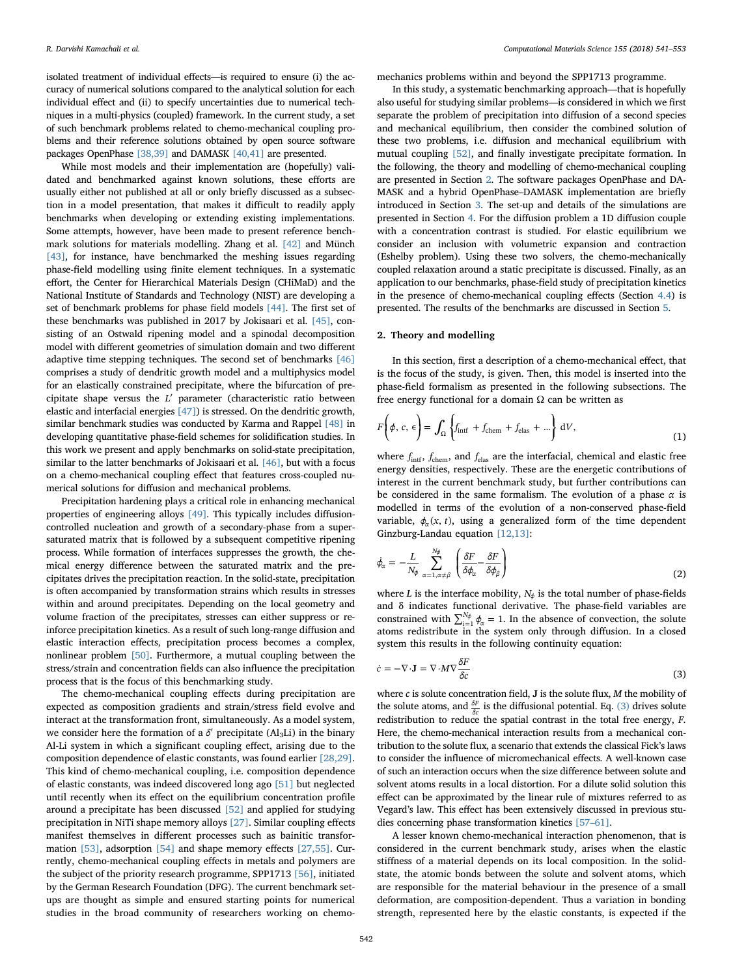isolated treatment of individual effects—is required to ensure (i) the accuracy of numerical solutions compared to the analytical solution for each individual effect and (ii) to specify uncertainties due to numerical techniques in a multi-physics (coupled) framework. In the current study, a set of such benchmark problems related to chemo-mechanical coupling problems and their reference solutions obtained by open source software packages OpenPhase [\[38,39\]](#page--1-9) and DAMASK [\[40,41\]](#page--1-10) are presented.

While most models and their implementation are (hopefully) validated and benchmarked against known solutions, these efforts are usually either not published at all or only briefly discussed as a subsection in a model presentation, that makes it difficult to readily apply benchmarks when developing or extending existing implementations. Some attempts, however, have been made to present reference benchmark solutions for materials modelling. Zhang et al. [\[42\]](#page--1-11) and Münch [\[43\]](#page--1-12), for instance, have benchmarked the meshing issues regarding phase-field modelling using finite element techniques. In a systematic effort, the Center for Hierarchical Materials Design (CHiMaD) and the National Institute of Standards and Technology (NIST) are developing a set of benchmark problems for phase field models [\[44\]](#page--1-13). The first set of these benchmarks was published in 2017 by Jokisaari et al. [\[45\],](#page--1-14) consisting of an Ostwald ripening model and a spinodal decomposition model with different geometries of simulation domain and two different adaptive time stepping techniques. The second set of benchmarks [\[46\]](#page--1-15) comprises a study of dendritic growth model and a multiphysics model for an elastically constrained precipitate, where the bifurcation of precipitate shape versus the *L*′ parameter (characteristic ratio between elastic and interfacial energies [\[47\]](#page--1-16)) is stressed. On the dendritic growth, similar benchmark studies was conducted by Karma and Rappel [\[48\]](#page--1-17) in developing quantitative phase-field schemes for solidification studies. In this work we present and apply benchmarks on solid-state precipitation, similar to the latter benchmarks of Jokisaari et al. [\[46\]](#page--1-15), but with a focus on a chemo-mechanical coupling effect that features cross-coupled numerical solutions for diffusion and mechanical problems.

Precipitation hardening plays a critical role in enhancing mechanical properties of engineering alloys [\[49\].](#page--1-18) This typically includes diffusioncontrolled nucleation and growth of a secondary-phase from a supersaturated matrix that is followed by a subsequent competitive ripening process. While formation of interfaces suppresses the growth, the chemical energy difference between the saturated matrix and the precipitates drives the precipitation reaction. In the solid-state, precipitation is often accompanied by transformation strains which results in stresses within and around precipitates. Depending on the local geometry and volume fraction of the precipitates, stresses can either suppress or reinforce precipitation kinetics. As a result of such long-range diffusion and elastic interaction effects, precipitation process becomes a complex, nonlinear problem [\[50\].](#page--1-19) Furthermore, a mutual coupling between the stress/strain and concentration fields can also influence the precipitation process that is the focus of this benchmarking study.

The chemo-mechanical coupling effects during precipitation are expected as composition gradients and strain/stress field evolve and interact at the transformation front, simultaneously. As a model system, we consider here the formation of a *δ'* precipitate (Al<sub>3</sub>Li) in the binary Al-Li system in which a significant coupling effect, arising due to the composition dependence of elastic constants, was found earlier [\[28,29\]](#page--1-20). This kind of chemo-mechanical coupling, i.e. composition dependence of elastic constants, was indeed discovered long ago [\[51\]](#page--1-21) but neglected until recently when its effect on the equilibrium concentration profile around a precipitate has been discussed [\[52\]](#page--1-22) and applied for studying precipitation in NiTi shape memory alloys [\[27\]](#page--1-23). Similar coupling effects manifest themselves in different processes such as bainitic transformation [\[53\],](#page--1-24) adsorption [\[54\]](#page--1-25) and shape memory effects [\[27,55\]](#page--1-23). Currently, chemo-mechanical coupling effects in metals and polymers are the subject of the priority research programme, SPP1713 [\[56\],](#page--1-26) initiated by the German Research Foundation (DFG). The current benchmark setups are thought as simple and ensured starting points for numerical studies in the broad community of researchers working on chemomechanics problems within and beyond the SPP1713 programme.

In this study, a systematic benchmarking approach—that is hopefully also useful for studying similar problems—is considered in which we first separate the problem of precipitation into diffusion of a second species and mechanical equilibrium, then consider the combined solution of these two problems, i.e. diffusion and mechanical equilibrium with mutual coupling [\[52\]](#page--1-22), and finally investigate precipitate formation. In the following, the theory and modelling of chemo-mechanical coupling are presented in Section [2](#page-1-0). The software packages OpenPhase and DA-MASK and a hybrid OpenPhase–DAMASK implementation are briefly introduced in Section [3.](#page--1-27) The set-up and details of the simulations are presented in Section [4.](#page--1-28) For the diffusion problem a 1D diffusion couple with a concentration contrast is studied. For elastic equilibrium we consider an inclusion with volumetric expansion and contraction (Eshelby problem). Using these two solvers, the chemo-mechanically coupled relaxation around a static precipitate is discussed. Finally, as an application to our benchmarks, phase-field study of precipitation kinetics in the presence of chemo-mechanical coupling effects (Section [4.4\)](#page--1-29) is presented. The results of the benchmarks are discussed in Section [5](#page--1-30).

#### <span id="page-1-0"></span>2. Theory and modelling

In this section, first a description of a chemo-mechanical effect, that is the focus of the study, is given. Then, this model is inserted into the phase-field formalism as presented in the following subsections. The free energy functional for a domain  $\Omega$  can be written as

$$
F\left(\phi, c, \epsilon\right) = \int_{\Omega} \left\{ f_{\text{intf}} + f_{\text{chem}} + f_{\text{elas}} + \ldots \right\} dV, \tag{1}
$$

where  $f_{\text{int}}$ ,  $f_{\text{chem}}$ , and  $f_{\text{elas}}$  are the interfacial, chemical and elastic free energy densities, respectively. These are the energetic contributions of interest in the current benchmark study, but further contributions can be considered in the same formalism. The evolution of a phase *α* is modelled in terms of the evolution of a non-conserved phase-field variable,  $\phi_{\alpha}(x, t)$ , using a generalized form of the time dependent Ginzburg-Landau equation [\[12,13\]:](#page--1-2)

$$
\dot{\phi}_{\alpha} = -\frac{L}{N_{\phi}} \sum_{\alpha=1, \alpha \neq \beta}^{N_{\phi}} \left( \frac{\delta F}{\delta \phi_{\alpha}} - \frac{\delta F}{\delta \phi_{\beta}} \right)
$$
(2)

where *L* is the interface mobility,  $N_{\phi}$  is the total number of phase-fields and δ indicates functional derivative. The phase-field variables are constrained with  $\sum_{i=1}^{N_{\phi}} \phi_{\alpha} = 1$ . In the absence of convection, the solute atoms redistribute in the system only through diffusion. In a closed system this results in the following continuity equation:

<span id="page-1-1"></span>
$$
\dot{c} = -\nabla \cdot \mathbf{J} = \nabla \cdot M \nabla \frac{\delta F}{\delta c}
$$
\n(3)

where  $c$  is solute concentration field,  $J$  is the solute flux,  $M$  the mobility of the solute atoms, and  $\frac{\delta F}{\delta c}$  is the diffusional potential. Eq. [\(3\)](#page-1-1) drives solute redistribution to reduce the spatial contrast in the total free energy, F. Here, the chemo-mechanical interaction results from a mechanical contribution to the solute flux, a scenario that extends the classical Fick's laws to consider the influence of micromechanical effects. A well-known case of such an interaction occurs when the size difference between solute and solvent atoms results in a local distortion. For a dilute solid solution this effect can be approximated by the linear rule of mixtures referred to as Vegard's law. This effect has been extensively discussed in previous studies concerning phase transformation kinetics [\[57](#page--1-31)–61].

A lesser known chemo-mechanical interaction phenomenon, that is considered in the current benchmark study, arises when the elastic stiffness of a material depends on its local composition. In the solidstate, the atomic bonds between the solute and solvent atoms, which are responsible for the material behaviour in the presence of a small deformation, are composition-dependent. Thus a variation in bonding strength, represented here by the elastic constants, is expected if the